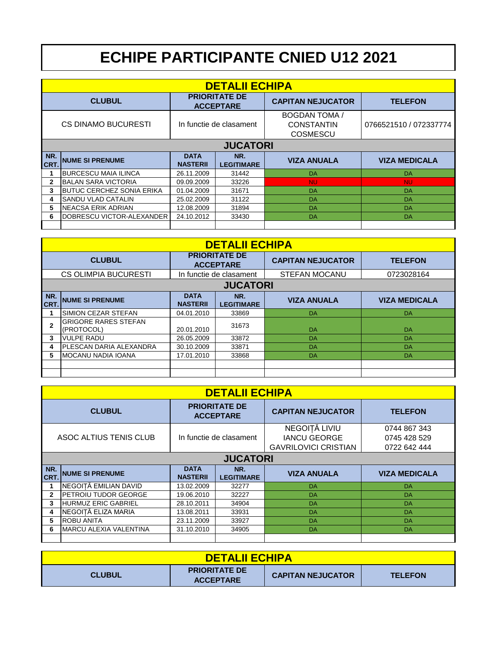## **ECHIPE PARTICIPANTE CNIED U12 2021**

|                                                           | <b>DETALII ECHIPA</b>             |                                |                          |                                                              |                        |  |  |  |
|-----------------------------------------------------------|-----------------------------------|--------------------------------|--------------------------|--------------------------------------------------------------|------------------------|--|--|--|
| <b>PRIORITATE DE</b><br><b>CLUBUL</b><br><b>ACCEPTARE</b> |                                   |                                | <b>CAPITAN NEJUCATOR</b> | <b>TELEFON</b>                                               |                        |  |  |  |
|                                                           | <b>CS DINAMO BUCURESTI</b>        | In functie de clasament        |                          | <b>BOGDAN TOMA /</b><br><b>CONSTANTIN</b><br><b>COSMESCU</b> | 0766521510 / 072337774 |  |  |  |
|                                                           | <b>JUCATORI</b>                   |                                |                          |                                                              |                        |  |  |  |
| NR.<br>CRT.                                               | <b>NUME SI PRENUME</b>            | <b>DATA</b><br><b>NASTERII</b> | NR.<br><b>LEGITIMARE</b> | <b>VIZA ANUALA</b>                                           | <b>VIZA MEDICALA</b>   |  |  |  |
|                                                           | <b>BURCESCU MAIA ILINCA</b>       | 26.11.2009                     | 31442                    | DA                                                           | DA                     |  |  |  |
| $\mathbf{2}$                                              | <b>IBALAN SARA VICTORIA</b>       | 09.09.2009                     | 33226                    | <b>NU</b>                                                    | <b>NU</b>              |  |  |  |
| 3                                                         | IBUTUC CERCHEZ SONIA ERIKA        | 01.04.2009                     | 31671                    | DA                                                           | DA                     |  |  |  |
| 4                                                         | <b>ISANDU VLAD CATALIN</b>        | 25.02.2009                     | 31122                    | DA                                                           | DA                     |  |  |  |
| 5                                                         | INEACSA ERIK ADRIAN               | 12.08.2009                     | 31894                    | DA                                                           | DA                     |  |  |  |
| 6                                                         | <b>IDOBRESCU VICTOR-ALEXANDER</b> | 24.10.2012                     | 33430                    | DA                                                           | DA                     |  |  |  |
|                                                           |                                   |                                |                          |                                                              |                        |  |  |  |

|               | <b>DETALII ECHIPA</b>                     |                                          |                          |                          |                      |  |  |  |
|---------------|-------------------------------------------|------------------------------------------|--------------------------|--------------------------|----------------------|--|--|--|
| <b>CLUBUL</b> |                                           | <b>PRIORITATE DE</b><br><b>ACCEPTARE</b> |                          | <b>CAPITAN NEJUCATOR</b> | <b>TELEFON</b>       |  |  |  |
|               | <b>CS OLIMPIA BUCURESTI</b>               |                                          | In functie de clasament  | <b>STEFAN MOCANU</b>     | 0723028164           |  |  |  |
|               | <b>JUCATORI</b>                           |                                          |                          |                          |                      |  |  |  |
| NR.<br>CRT.   | <b>NUME SI PRENUME</b>                    | <b>DATA</b><br><b>NASTERII</b>           | NR.<br><b>LEGITIMARE</b> | <b>VIZA ANUALA</b>       | <b>VIZA MEDICALA</b> |  |  |  |
|               | <b>SIMION CEZAR STEFAN</b>                | 04.01.2010                               | 33869                    | DA                       | DA                   |  |  |  |
| $\mathbf{2}$  | <b>GRIGORE RARES STEFAN</b><br>(PROTOCOL) | 20.01.2010                               | 31673                    | <b>DA</b>                | <b>DA</b>            |  |  |  |
| 3             | <b>VULPE RADU</b>                         | 26.05.2009                               | 33872                    | DA                       | DA                   |  |  |  |
| 4             | IPLESCAN DARIA ALEXANDRA                  | 30.10.2009                               | 33871                    | <b>DA</b>                | DA                   |  |  |  |
| 5             | IMOCANU NADIA IOANA                       | 17.01.2010                               | 33868                    | DA                       | DA                   |  |  |  |
|               |                                           |                                          |                          |                          |                      |  |  |  |
|               |                                           |                                          |                          |                          |                      |  |  |  |

|                                                   | <b>DETALII ECHIPA</b>      |                                                                     |                                              |                          |                      |  |  |
|---------------------------------------------------|----------------------------|---------------------------------------------------------------------|----------------------------------------------|--------------------------|----------------------|--|--|
| <b>CLUBUL</b>                                     |                            |                                                                     | <b>PRIORITATE DE</b><br><b>ACCEPTARE</b>     | <b>CAPITAN NEJUCATOR</b> | <b>TELEFON</b>       |  |  |
| ASOC ALTIUS TENIS CLUB<br>In functie de clasament |                            | NEGOITĂ LIVIU<br><b>IANCU GEORGE</b><br><b>GAVRILOVICI CRISTIAN</b> | 0744 867 343<br>0745 428 529<br>0722 642 444 |                          |                      |  |  |
|                                                   |                            |                                                                     | <b>JUCATORI</b>                              |                          |                      |  |  |
| NR.                                               |                            | <b>DATA</b>                                                         | NR.                                          |                          |                      |  |  |
| CRT.                                              | <b>NUME SI PRENUME</b>     | <b>NASTERII</b>                                                     | <b>LEGITIMARE</b>                            | <b>VIZA ANUALA</b>       | <b>VIZA MEDICALA</b> |  |  |
|                                                   | NEGOITĂ EMILIAN DAVID      | 13.02.2009                                                          | 32277                                        | DA                       | DA                   |  |  |
| $\mathbf{2}$                                      | IPETROIU TUDOR GEORGE      | 19.06.2010                                                          | 32227                                        | DA                       | DA                   |  |  |
| 3                                                 | <b>HURMUZ ERIC GABRIEL</b> | 28.10.2011                                                          | 34904                                        | DA                       | DA                   |  |  |
| 4                                                 | NEGOIȚĂ ELIZA MARIA        | 13.08.2011                                                          | 33931                                        | DA                       | DA                   |  |  |
| 5                                                 | <b>ROBU ANITA</b>          | 23.11.2009                                                          | 33927                                        | DA                       | DA                   |  |  |
| 6                                                 | IMARCU ALEXIA VALENTINA    | 31.10.2010                                                          | 34905                                        | DA                       | DA                   |  |  |

| <b>DETALII ECHIPA</b> |                                          |                          |                |  |  |
|-----------------------|------------------------------------------|--------------------------|----------------|--|--|
| <b>CLUBUL</b>         | <b>PRIORITATE DE</b><br><b>ACCEPTARE</b> | <b>CAPITAN NEJUCATOR</b> | <b>TELEFON</b> |  |  |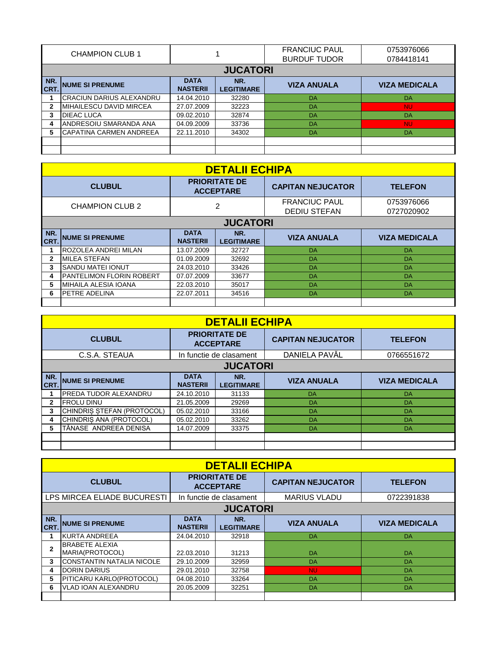| <b>CHAMPION CLUB 1</b> |                           |                                |                          | <b>FRANCIUC PAUL</b><br><b>BURDUF TUDOR</b> | 0753976066<br>0784418141 |
|------------------------|---------------------------|--------------------------------|--------------------------|---------------------------------------------|--------------------------|
|                        |                           |                                | <b>JUCATORI</b>          |                                             |                          |
| NR.<br><b>CRT.</b>     | <b>NUME SI PRENUME</b>    | <b>DATA</b><br><b>NASTERII</b> | NR.<br><b>LEGITIMARE</b> | <b>VIZA ANUALA</b>                          | <b>VIZA MEDICALA</b>     |
|                        | ICRACIUN DARIUS ALEXANDRU | 14.04.2010                     | 32280                    | DA                                          | DA                       |
|                        | IMIHAILESCU DAVID MIRCEA  | 27.07.2009                     | 32223                    | DA                                          | <b>NU</b>                |
|                        | DIEAC LUCA                | 09.02.2010                     | 32874                    | DA                                          | DA                       |
|                        | ANDRESOIU SMARANDA ANA    | 04.09.2009                     | 33736                    | DA                                          | <b>NU</b>                |
|                        | ICAPATINA CARMEN ANDREEA  | 22.11.2010                     | 34302                    | DA                                          | DA                       |
|                        |                           |                                |                          |                                             |                          |
|                        |                           |                                |                          |                                             |                          |

| <b>DETALII ECHIPA</b>  |                                  |                                          |                          |                                             |                          |  |  |  |
|------------------------|----------------------------------|------------------------------------------|--------------------------|---------------------------------------------|--------------------------|--|--|--|
| <b>CLUBUL</b>          |                                  | <b>PRIORITATE DE</b><br><b>ACCEPTARE</b> |                          | <b>CAPITAN NEJUCATOR</b>                    | <b>TELEFON</b>           |  |  |  |
| <b>CHAMPION CLUB 2</b> |                                  | 2                                        |                          | <b>FRANCIUC PAUL</b><br><b>DEDIU STEFAN</b> | 0753976066<br>0727020902 |  |  |  |
|                        | <b>JUCATORI</b>                  |                                          |                          |                                             |                          |  |  |  |
| NR.<br>CRT.            | <b>NUME SI PRENUME</b>           | <b>DATA</b><br><b>NASTERII</b>           | NR.<br><b>LEGITIMARE</b> | <b>VIZA ANUALA</b>                          | <b>VIZA MEDICALA</b>     |  |  |  |
|                        | <b>ROZOLEA ANDREI MILAN</b>      | 13.07.2009                               | 32727                    | <b>DA</b>                                   | DA                       |  |  |  |
| $\mathbf{2}$           | <b>MILEA STEFAN</b>              | 01.09.2009                               | 32692                    | DA                                          | DA                       |  |  |  |
| 3                      | <b>ISANDU MATEI IONUT</b>        | 24.03.2010                               | 33426                    | DA                                          | DA                       |  |  |  |
| 4                      | <b>IPANTELIMON FLORIN ROBERT</b> | 07.07.2009                               | 33677                    | DA                                          | <b>DA</b>                |  |  |  |
| 5                      | MIHAILA ALESIA IOANA             | 22.03.2010                               | 35017                    | DA                                          | DA                       |  |  |  |
| 6                      | <b>IPETRE ADELINA</b>            | 22.07.2011                               | 34516                    | DA                                          | DA                       |  |  |  |
|                        |                                  |                                          |                          |                                             |                          |  |  |  |

|               | <b>DETALII ECHIPA</b>        |                                          |                          |                          |                      |  |  |  |
|---------------|------------------------------|------------------------------------------|--------------------------|--------------------------|----------------------|--|--|--|
| <b>CLUBUL</b> |                              | <b>PRIORITATE DE</b><br><b>ACCEPTARE</b> |                          | <b>CAPITAN NEJUCATOR</b> | <b>TELEFON</b>       |  |  |  |
|               | C.S.A. STEAUA                |                                          | In functie de clasament  | DANIELA PAVĂL            | 0766551672           |  |  |  |
|               | <b>JUCATORI</b>              |                                          |                          |                          |                      |  |  |  |
| NR.<br>CRT.   | <b>NUME SI PRENUME</b>       | <b>DATA</b><br><b>NASTERII</b>           | NR.<br><b>LEGITIMARE</b> | <b>VIZA ANUALA</b>       | <b>VIZA MEDICALA</b> |  |  |  |
|               | <b>PREDA TUDOR ALEXANDRU</b> | 24.10.2010                               | 31133                    | DA                       | DA                   |  |  |  |
| $\mathbf{2}$  | <b>FROLU DINU</b>            | 21.05.2009                               | 29269                    | DA                       | <b>DA</b>            |  |  |  |
| 3             | CHINDRIS STEFAN (PROTOCOL)   | 05.02.2010                               | 33166                    | DA                       | <b>DA</b>            |  |  |  |
| 4             | CHINDRIS ANA (PROTOCOL)      | 05.02.2010                               | 33262                    | DA                       | DA                   |  |  |  |
| 5             | TĂNASE ANDREEA DENISA        | 14.07.2009                               | 33375                    | DA                       | <b>DA</b>            |  |  |  |
|               |                              |                                          |                          |                          |                      |  |  |  |
|               |                              |                                          |                          |                          |                      |  |  |  |

|                    | <b>DETALII ECHIPA</b>                    |                                          |                          |                          |                      |  |  |  |
|--------------------|------------------------------------------|------------------------------------------|--------------------------|--------------------------|----------------------|--|--|--|
| <b>CLUBUL</b>      |                                          | <b>PRIORITATE DE</b><br><b>ACCEPTARE</b> |                          | <b>CAPITAN NEJUCATOR</b> | <b>TELEFON</b>       |  |  |  |
|                    | LPS MIRCEA ELIADE BUCURESTI              |                                          | In functie de clasament  | <b>MARIUS VLADU</b>      | 0722391838           |  |  |  |
|                    | <b>JUCATORI</b>                          |                                          |                          |                          |                      |  |  |  |
| NR.<br><b>CRT.</b> | <b>NUME SI PRENUME</b>                   | <b>DATA</b><br><b>NASTERII</b>           | NR.<br><b>LEGITIMARE</b> | <b>VIZA ANUALA</b>       | <b>VIZA MEDICALA</b> |  |  |  |
|                    | IKURTA ANDREEA                           | 24.04.2010                               | 32918                    | DA                       | DA                   |  |  |  |
| $\mathbf{2}$       | <b>BRABETE ALEXIA</b><br>MARIA(PROTOCOL) | 22.03.2010                               | 31213                    | DA                       | DA                   |  |  |  |
| 3                  | ICONSTANTIN NATALIA NICOLE               | 29.10.2009                               | 32959                    | DA                       | DA                   |  |  |  |
| 4                  | <b>IDORIN DARIUS</b>                     | 29.01.2010                               | 32758                    | NU.                      | DA                   |  |  |  |
| 5                  | PITICARU KARLO(PROTOCOL)                 | 04.08.2010                               | 33264                    | DA                       | DA                   |  |  |  |
| 6                  | IVLAD IOAN ALEXANDRU                     | 20.05.2009                               | 32251                    | DA                       | DA                   |  |  |  |
|                    |                                          |                                          |                          |                          |                      |  |  |  |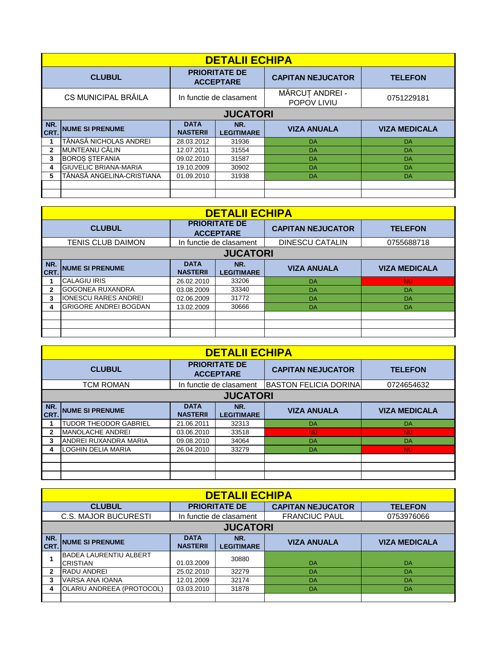|              | <b>DETALII ECHIPA</b>        |                                          |                          |                                |                      |  |  |  |
|--------------|------------------------------|------------------------------------------|--------------------------|--------------------------------|----------------------|--|--|--|
|              | <b>CLUBUL</b>                | <b>PRIORITATE DE</b><br><b>ACCEPTARE</b> |                          | <b>CAPITAN NEJUCATOR</b>       | <b>TELEFON</b>       |  |  |  |
|              | CS MUNICIPAL BRĂILA          | In functie de clasament                  |                          | MĂRCUȚ ANDREI -<br>POPOV LIVIU | 0751229181           |  |  |  |
|              | <b>JUCATORI</b>              |                                          |                          |                                |                      |  |  |  |
| NR.<br>CRT.  | <b>NUME SI PRENUME</b>       | <b>DATA</b><br><b>NASTERII</b>           | NR.<br><b>LEGITIMARE</b> | <b>VIZA ANUALA</b>             | <b>VIZA MEDICALA</b> |  |  |  |
|              | TĂNASĂ NICHOLAS ANDREI       | 28.03.2012                               | 31936                    | DA                             | DA                   |  |  |  |
| $\mathbf{2}$ | MUNTEANU CĂLIN               | 12.07.2011                               | 31554                    | DA                             | DA                   |  |  |  |
| 3            | <b>BOROS STEFANIA</b>        | 09.02.2010                               | 31587                    | DA                             | DA                   |  |  |  |
| 4            | <b>GIUVELIC BRIANA-MARIA</b> | 19.10.2009                               | 30902                    | DA                             | DA                   |  |  |  |
|              | TĂNASĂ ANGELINA-CRISTIANA    | 01.09.2010                               | 31938                    | DA                             | DA                   |  |  |  |
|              |                              |                                          |                          |                                |                      |  |  |  |
|              |                              |                                          |                          |                                |                      |  |  |  |

|               | <b>DETALII ECHIPA</b>        |                                          |                          |                        |                      |  |  |  |
|---------------|------------------------------|------------------------------------------|--------------------------|------------------------|----------------------|--|--|--|
| <b>CLUBUL</b> |                              | <b>PRIORITATE DE</b><br><b>ACCEPTARE</b> | <b>CAPITAN NEJUCATOR</b> | <b>TELEFON</b>         |                      |  |  |  |
|               | <b>TENIS CLUB DAIMON</b>     |                                          | In functie de clasament  | <b>DINESCU CATALIN</b> | 0755688718           |  |  |  |
|               | <b>JUCATORI</b>              |                                          |                          |                        |                      |  |  |  |
| NR.<br>CRT.   | <b>NUME SI PRENUME</b>       | <b>DATA</b><br><b>NASTERII</b>           | NR.<br><b>LEGITIMARE</b> | <b>VIZA ANUALA</b>     | <b>VIZA MEDICALA</b> |  |  |  |
|               | <b>CALAGIU IRIS</b>          | 26.02.2010                               | 33206                    | <b>DA</b>              | <b>NU</b>            |  |  |  |
| $\mathbf{2}$  | GOGONEA RUXANDRA             | 03.08.2009                               | 33340                    | DA                     | DA                   |  |  |  |
| 3             | <b>IONESCU RARES ANDREI</b>  | 02.06.2009                               | 31772                    | DA                     | DA                   |  |  |  |
| 4             | <b>GRIGORE ANDREI BOGDAN</b> | 13.02.2009                               | 30666                    | DA                     | DA                   |  |  |  |
|               |                              |                                          |                          |                        |                      |  |  |  |
|               |                              |                                          |                          |                        |                      |  |  |  |
|               |                              |                                          |                          |                        |                      |  |  |  |

|               | <b>DETALII ECHIPA</b>        |                                          |                          |                              |                      |  |  |  |
|---------------|------------------------------|------------------------------------------|--------------------------|------------------------------|----------------------|--|--|--|
| <b>CLUBUL</b> |                              | <b>PRIORITATE DE</b><br><b>ACCEPTARE</b> |                          | <b>CAPITAN NEJUCATOR</b>     | <b>TELEFON</b>       |  |  |  |
|               | TCM ROMAN                    |                                          | In functie de clasament  | <b>BASTON FELICIA DORINA</b> | 0724654632           |  |  |  |
|               | <b>JUCATORI</b>              |                                          |                          |                              |                      |  |  |  |
| NR.<br>CRT.   | <b>NUME SI PRENUME</b>       | <b>DATA</b><br><b>NASTERII</b>           | NR.<br><b>LEGITIMARE</b> | <b>VIZA ANUALA</b>           | <b>VIZA MEDICALA</b> |  |  |  |
|               | <b>TUDOR THEODOR GABRIEL</b> | 21.06.2011                               | 32313                    | <b>DA</b>                    | DA                   |  |  |  |
| 2             | <b>MANOLACHE ANDREI</b>      | 03.06.2010                               | 33518                    | <b>NU</b>                    | <b>NU</b>            |  |  |  |
| 3             | ANDREI RUXANDRA MARIA        | 09.08.2010                               | 34064                    | <b>DA</b>                    | <b>DA</b>            |  |  |  |
|               | <b>LOGHIN DELIA MARIA</b>    | 26.04.2010                               | 33279                    | DA                           | <b>NU</b>            |  |  |  |
|               |                              |                                          |                          |                              |                      |  |  |  |
|               |                              |                                          |                          |                              |                      |  |  |  |
|               |                              |                                          |                          |                              |                      |  |  |  |

|                                                                                     | <b>DETALII ECHIPA</b>                |                                |                          |                      |                      |  |  |  |
|-------------------------------------------------------------------------------------|--------------------------------------|--------------------------------|--------------------------|----------------------|----------------------|--|--|--|
| <b>PRIORITATE DE</b><br><b>CLUBUL</b><br><b>CAPITAN NEJUCATOR</b><br><b>TELEFON</b> |                                      |                                |                          |                      |                      |  |  |  |
|                                                                                     | <b>C.S. MAJOR BUCURESTI</b>          |                                | In functie de clasament  | <b>FRANCIUC PAUL</b> | 0753976066           |  |  |  |
|                                                                                     | <b>JUCATORI</b>                      |                                |                          |                      |                      |  |  |  |
| NR.<br><b>CRT.</b>                                                                  | <b>NUME SI PRENUME</b>               | <b>DATA</b><br><b>NASTERII</b> | NR.<br><b>LEGITIMARE</b> | <b>VIZA ANUALA</b>   | <b>VIZA MEDICALA</b> |  |  |  |
|                                                                                     | IBADEA LAURENTIU ALBERT<br>ICRISTIAN | 01.03.2009                     | 30880                    | DA                   | DA                   |  |  |  |
|                                                                                     | <b>RADU ANDREI</b>                   | 25.02.2010                     | 32279                    | DA                   | DA                   |  |  |  |
| 3                                                                                   | VARSA ANA IOANA                      | 12.01.2009                     | 32174                    | DA                   | DA                   |  |  |  |
|                                                                                     | OLARIU ANDREEA (PROTOCOL)            | 03.03.2010                     | 31878                    | DA                   | DA                   |  |  |  |
|                                                                                     |                                      |                                |                          |                      |                      |  |  |  |